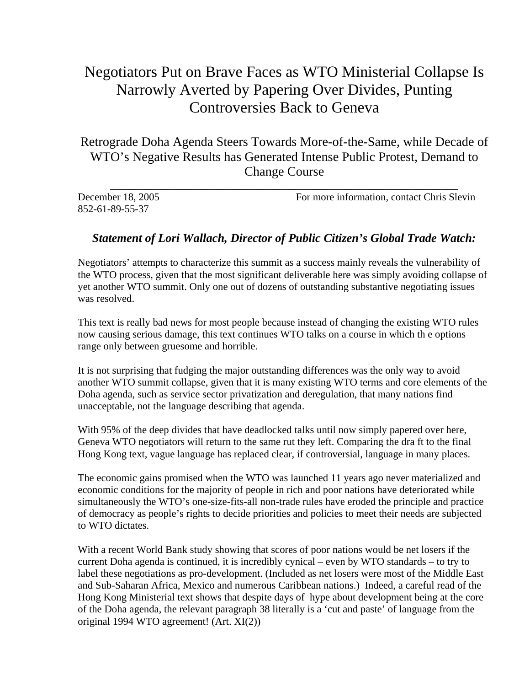## Negotiators Put on Brave Faces as WTO Ministerial Collapse Is Narrowly Averted by Papering Over Divides, Punting Controversies Back to Geneva

Retrograde Doha Agenda Steers Towards More-of-the-Same, while Decade of WTO's Negative Results has Generated Intense Public Protest, Demand to Change Course

| December 18, 2005 | For more information, contact Chris Slevin |
|-------------------|--------------------------------------------|
| 852-61-89-55-37   |                                            |

## *Statement of Lori Wallach, Director of Public Citizen's Global Trade Watch:*

Negotiators' attempts to characterize this summit as a success mainly reveals the vulnerability of the WTO process, given that the most significant deliverable here was simply avoiding collapse of yet another WTO summit. Only one out of dozens of outstanding substantive negotiating issues was resolved.

This text is really bad news for most people because instead of changing the existing WTO rules now causing serious damage, this text continues WTO talks on a course in which th e options range only between gruesome and horrible.

It is not surprising that fudging the major outstanding differences was the only way to avoid another WTO summit collapse, given that it is many existing WTO terms and core elements of the Doha agenda, such as service sector privatization and deregulation, that many nations find unacceptable, not the language describing that agenda.

With 95% of the deep divides that have deadlocked talks until now simply papered over here, Geneva WTO negotiators will return to the same rut they left. Comparing the dra ft to the final Hong Kong text, vague language has replaced clear, if controversial, language in many places.

The economic gains promised when the WTO was launched 11 years ago never materialized and economic conditions for the majority of people in rich and poor nations have deteriorated while simultaneously the WTO's one-size-fits-all non-trade rules have eroded the principle and practice of democracy as people's rights to decide priorities and policies to meet their needs are subjected to WTO dictates.

With a recent World Bank study showing that scores of poor nations would be net losers if the current Doha agenda is continued, it is incredibly cynical – even by WTO standards – to try to label these negotiations as pro-development. (Included as net losers were most of the Middle East and Sub-Saharan Africa, Mexico and numerous Caribbean nations.) Indeed, a careful read of the Hong Kong Ministerial text shows that despite days of hype about development being at the core of the Doha agenda, the relevant paragraph 38 literally is a 'cut and paste' of language from the original 1994 WTO agreement! (Art. XI(2))